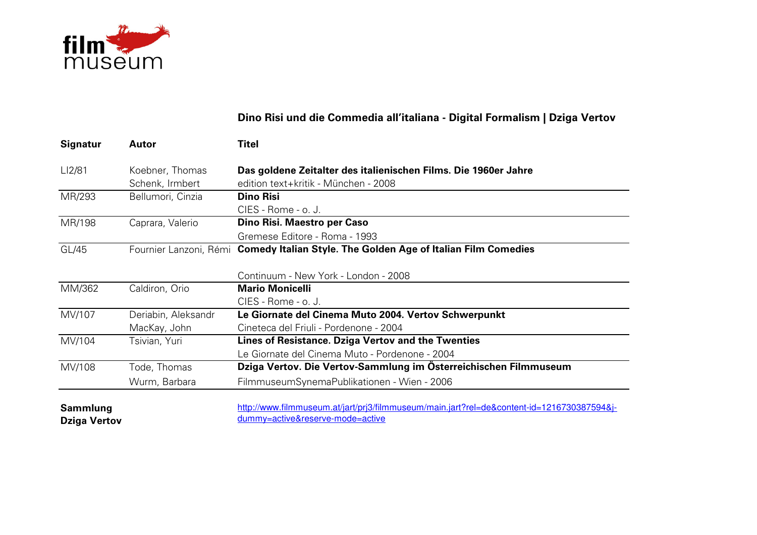

| <b>Signatur</b>                        | Autor               | Titel                                                                                                                          |
|----------------------------------------|---------------------|--------------------------------------------------------------------------------------------------------------------------------|
| L12/81                                 | Koebner, Thomas     | Das goldene Zeitalter des italienischen Films. Die 1960er Jahre                                                                |
|                                        | Schenk, Irmbert     | edition text+kritik - München - 2008                                                                                           |
| MR/293                                 | Bellumori, Cinzia   | <b>Dino Risi</b>                                                                                                               |
|                                        |                     | CIES - Rome - o. J.                                                                                                            |
| MR/198                                 | Caprara, Valerio    | Dino Risi. Maestro per Caso                                                                                                    |
|                                        |                     | Gremese Editore - Roma - 1993                                                                                                  |
| GL/45                                  |                     | Fournier Lanzoni, Rémi Comedy Italian Style. The Golden Age of Italian Film Comedies                                           |
|                                        |                     | Continuum - New York - London - 2008                                                                                           |
| MM/362                                 | Caldiron, Orio      | <b>Mario Monicelli</b>                                                                                                         |
|                                        |                     | CIES - Rome - o. J.                                                                                                            |
| MV/107                                 | Deriabin, Aleksandr | Le Giornate del Cinema Muto 2004. Vertov Schwerpunkt                                                                           |
|                                        | MacKay, John        | Cineteca del Friuli - Pordenone - 2004                                                                                         |
| MV/104                                 | Tsivian, Yuri       | Lines of Resistance. Dziga Vertov and the Twenties                                                                             |
|                                        |                     | Le Giornate del Cinema Muto - Pordenone - 2004                                                                                 |
| MV/108                                 | Tode, Thomas        | Dziga Vertov. Die Vertov-Sammlung im Österreichischen Filmmuseum                                                               |
|                                        | Wurm, Barbara       | FilmmuseumSynemaPublikationen - Wien - 2006                                                                                    |
| <b>Sammlung</b><br><b>Dziga Vertov</b> |                     | http://www.filmmuseum.at/jart/prj3/filmmuseum/main.jart?rel=de&content-id=1216730387594&i-<br>dummy=active&reserve-mode=active |

## **Dino Risi und die Commedia all'italiana - Digital Formalism | Dziga Vertov**